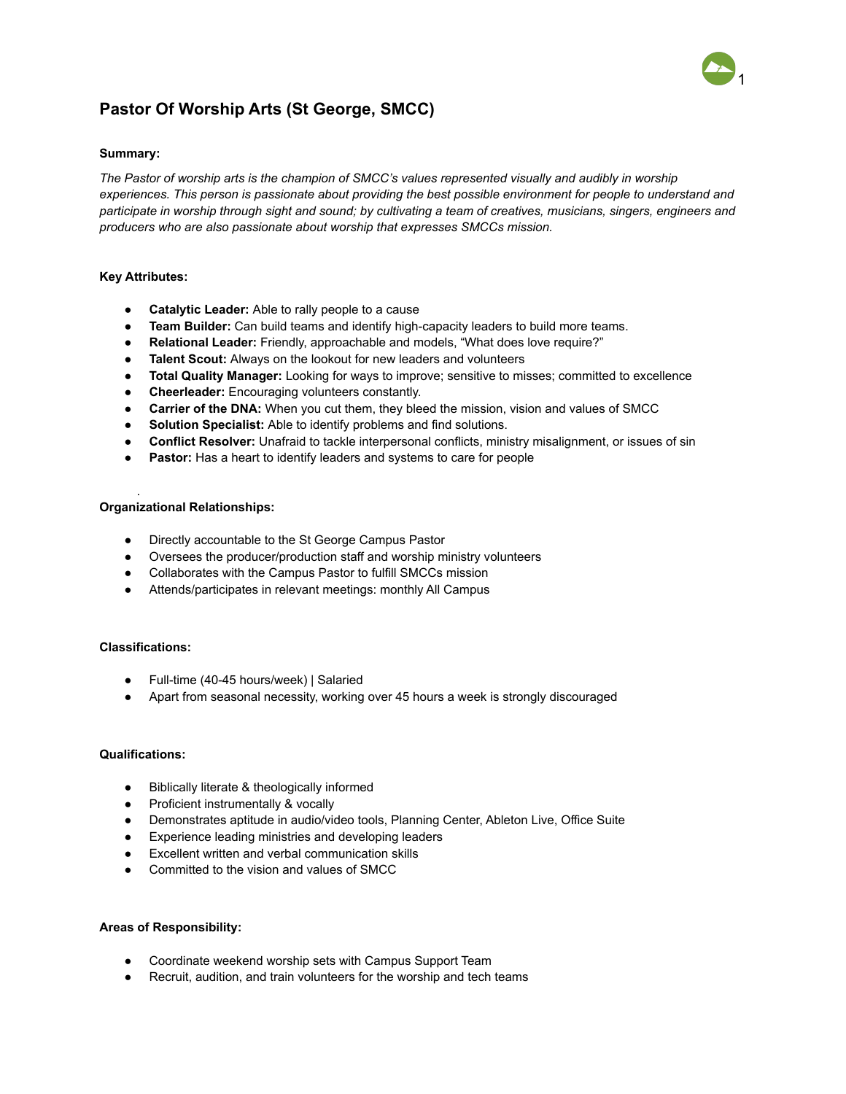# 1

## **Pastor Of Worship Arts (St George, SMCC)**

#### **Summary:**

*The Pastor of worship arts is the champion of SMCC's values represented visually and audibly in worship experiences. This person is passionate about providing the best possible environment for people to understand and participate in worship through sight and sound; by cultivating a team of creatives, musicians, singers, engineers and producers who are also passionate about worship that expresses SMCCs mission.*

#### **Key Attributes:**

- **Catalytic Leader:** Able to rally people to a cause
- **Team Builder:** Can build teams and identify high-capacity leaders to build more teams.
- **Relational Leader:** Friendly, approachable and models, "What does love require?"
- **Talent Scout:** Always on the lookout for new leaders and volunteers
- **Total Quality Manager:** Looking for ways to improve; sensitive to misses; committed to excellence
- **Cheerleader:** Encouraging volunteers constantly.
- **• Carrier of the DNA:** When you cut them, they bleed the mission, vision and values of SMCC
- **Solution Specialist:** Able to identify problems and find solutions.
- **Conflict Resolver:** Unafraid to tackle interpersonal conflicts, ministry misalignment, or issues of sin
- **Pastor:** Has a heart to identify leaders and systems to care for people

#### **Organizational Relationships:**

- Directly accountable to the St George Campus Pastor
- Oversees the producer/production staff and worship ministry volunteers
- Collaborates with the Campus Pastor to fulfill SMCCs mission
- Attends/participates in relevant meetings: monthly All Campus

### **Classifications:**

.

- Full-time (40-45 hours/week) | Salaried
- Apart from seasonal necessity, working over 45 hours a week is strongly discouraged

#### **Qualifications:**

- Biblically literate & theologically informed
- Proficient instrumentally & vocally
- Demonstrates aptitude in audio/video tools, Planning Center, Ableton Live, Office Suite
- Experience leading ministries and developing leaders
- Excellent written and verbal communication skills
- Committed to the vision and values of SMCC

#### **Areas of Responsibility:**

- Coordinate weekend worship sets with Campus Support Team
- Recruit, audition, and train volunteers for the worship and tech teams